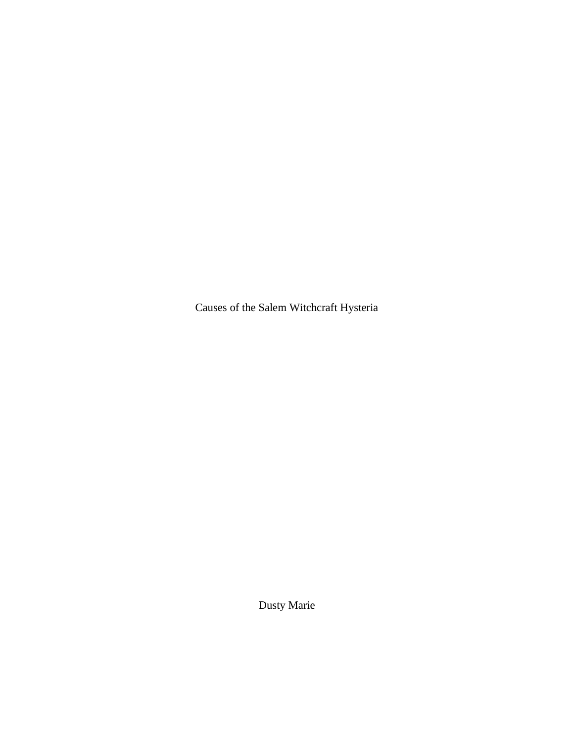Causes of the Salem Witchcraft Hysteria

Dusty Marie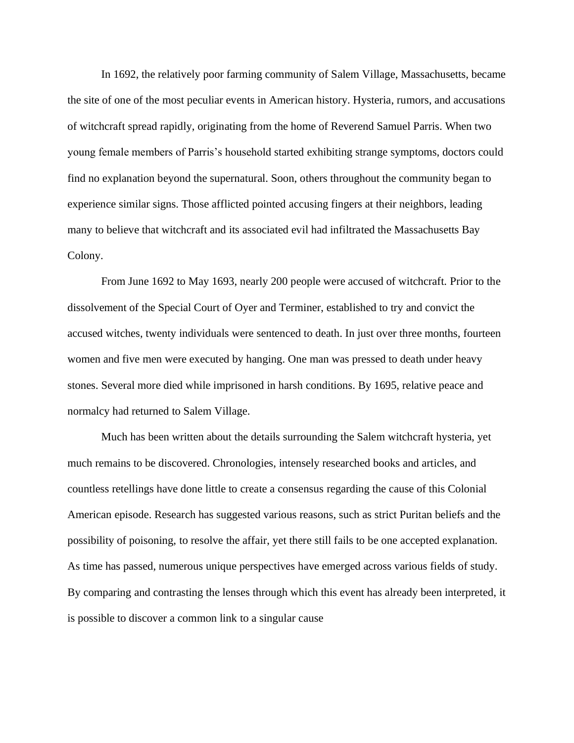In 1692, the relatively poor farming community of Salem Village, Massachusetts, became the site of one of the most peculiar events in American history. Hysteria, rumors, and accusations of witchcraft spread rapidly, originating from the home of Reverend Samuel Parris. When two young female members of Parris's household started exhibiting strange symptoms, doctors could find no explanation beyond the supernatural. Soon, others throughout the community began to experience similar signs. Those afflicted pointed accusing fingers at their neighbors, leading many to believe that witchcraft and its associated evil had infiltrated the Massachusetts Bay Colony.

From June 1692 to May 1693, nearly 200 people were accused of witchcraft. Prior to the dissolvement of the Special Court of Oyer and Terminer, established to try and convict the accused witches, twenty individuals were sentenced to death. In just over three months, fourteen women and five men were executed by hanging. One man was pressed to death under heavy stones. Several more died while imprisoned in harsh conditions. By 1695, relative peace and normalcy had returned to Salem Village.

Much has been written about the details surrounding the Salem witchcraft hysteria, yet much remains to be discovered. Chronologies, intensely researched books and articles, and countless retellings have done little to create a consensus regarding the cause of this Colonial American episode. Research has suggested various reasons, such as strict Puritan beliefs and the possibility of poisoning, to resolve the affair, yet there still fails to be one accepted explanation. As time has passed, numerous unique perspectives have emerged across various fields of study. By comparing and contrasting the lenses through which this event has already been interpreted, it is possible to discover a common link to a singular cause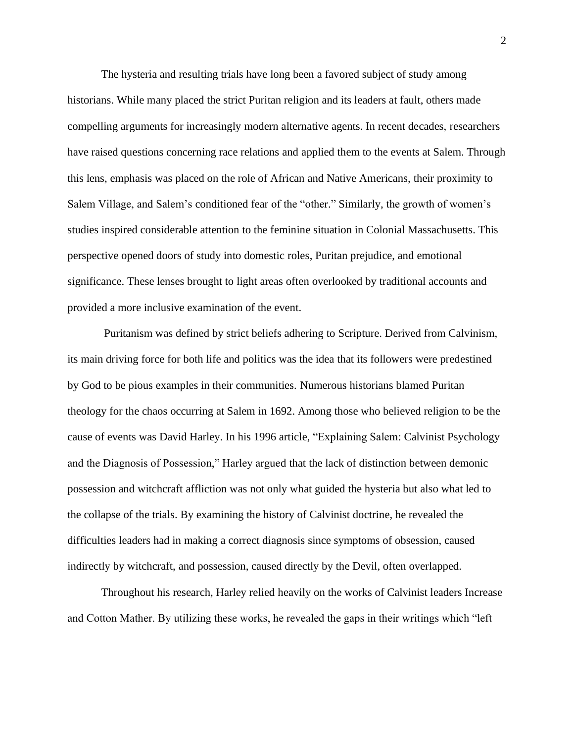The hysteria and resulting trials have long been a favored subject of study among historians. While many placed the strict Puritan religion and its leaders at fault, others made compelling arguments for increasingly modern alternative agents. In recent decades, researchers have raised questions concerning race relations and applied them to the events at Salem. Through this lens, emphasis was placed on the role of African and Native Americans, their proximity to Salem Village, and Salem's conditioned fear of the "other." Similarly, the growth of women's studies inspired considerable attention to the feminine situation in Colonial Massachusetts. This perspective opened doors of study into domestic roles, Puritan prejudice, and emotional significance. These lenses brought to light areas often overlooked by traditional accounts and provided a more inclusive examination of the event.

Puritanism was defined by strict beliefs adhering to Scripture. Derived from Calvinism, its main driving force for both life and politics was the idea that its followers were predestined by God to be pious examples in their communities. Numerous historians blamed Puritan theology for the chaos occurring at Salem in 1692. Among those who believed religion to be the cause of events was David Harley. In his 1996 article, "Explaining Salem: Calvinist Psychology and the Diagnosis of Possession," Harley argued that the lack of distinction between demonic possession and witchcraft affliction was not only what guided the hysteria but also what led to the collapse of the trials. By examining the history of Calvinist doctrine, he revealed the difficulties leaders had in making a correct diagnosis since symptoms of obsession, caused indirectly by witchcraft, and possession, caused directly by the Devil, often overlapped.

Throughout his research, Harley relied heavily on the works of Calvinist leaders Increase and Cotton Mather. By utilizing these works, he revealed the gaps in their writings which "left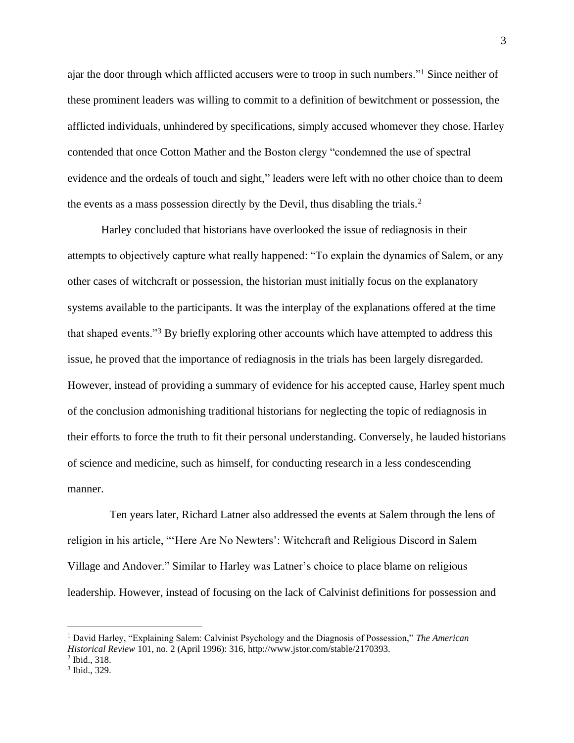ajar the door through which afflicted accusers were to troop in such numbers."<sup>1</sup> Since neither of these prominent leaders was willing to commit to a definition of bewitchment or possession, the afflicted individuals, unhindered by specifications, simply accused whomever they chose. Harley contended that once Cotton Mather and the Boston clergy "condemned the use of spectral evidence and the ordeals of touch and sight," leaders were left with no other choice than to deem the events as a mass possession directly by the Devil, thus disabling the trials.<sup>2</sup>

Harley concluded that historians have overlooked the issue of rediagnosis in their attempts to objectively capture what really happened: "To explain the dynamics of Salem, or any other cases of witchcraft or possession, the historian must initially focus on the explanatory systems available to the participants. It was the interplay of the explanations offered at the time that shaped events."<sup>3</sup> By briefly exploring other accounts which have attempted to address this issue, he proved that the importance of rediagnosis in the trials has been largely disregarded. However, instead of providing a summary of evidence for his accepted cause, Harley spent much of the conclusion admonishing traditional historians for neglecting the topic of rediagnosis in their efforts to force the truth to fit their personal understanding. Conversely, he lauded historians of science and medicine, such as himself, for conducting research in a less condescending manner.

Ten years later, Richard Latner also addressed the events at Salem through the lens of religion in his article, "'Here Are No Newters': Witchcraft and Religious Discord in Salem Village and Andover." Similar to Harley was Latner's choice to place blame on religious leadership. However, instead of focusing on the lack of Calvinist definitions for possession and

<sup>1</sup> David Harley, "Explaining Salem: Calvinist Psychology and the Diagnosis of Possession," *The American Historical Review* 101, no. 2 (April 1996): 316, http://www.jstor.com/stable/2170393.

<sup>2</sup> Ibid., 318.

<sup>3</sup> Ibid., 329.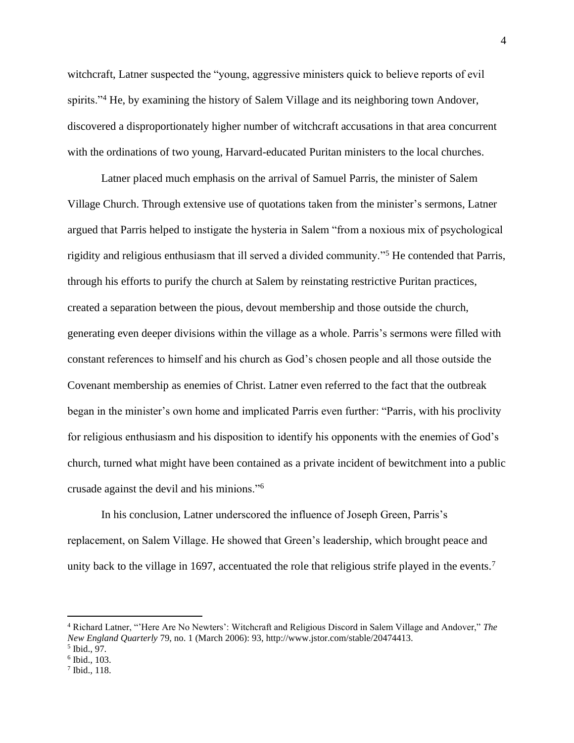witchcraft, Latner suspected the "young, aggressive ministers quick to believe reports of evil spirits."<sup>4</sup> He, by examining the history of Salem Village and its neighboring town Andover, discovered a disproportionately higher number of witchcraft accusations in that area concurrent with the ordinations of two young, Harvard-educated Puritan ministers to the local churches.

Latner placed much emphasis on the arrival of Samuel Parris, the minister of Salem Village Church. Through extensive use of quotations taken from the minister's sermons, Latner argued that Parris helped to instigate the hysteria in Salem "from a noxious mix of psychological rigidity and religious enthusiasm that ill served a divided community."<sup>5</sup> He contended that Parris, through his efforts to purify the church at Salem by reinstating restrictive Puritan practices, created a separation between the pious, devout membership and those outside the church, generating even deeper divisions within the village as a whole. Parris's sermons were filled with constant references to himself and his church as God's chosen people and all those outside the Covenant membership as enemies of Christ. Latner even referred to the fact that the outbreak began in the minister's own home and implicated Parris even further: "Parris, with his proclivity for religious enthusiasm and his disposition to identify his opponents with the enemies of God's church, turned what might have been contained as a private incident of bewitchment into a public crusade against the devil and his minions."<sup>6</sup>

In his conclusion, Latner underscored the influence of Joseph Green, Parris's replacement, on Salem Village. He showed that Green's leadership, which brought peace and unity back to the village in 1697, accentuated the role that religious strife played in the events.<sup>7</sup>

<sup>4</sup> Richard Latner, "'Here Are No Newters': Witchcraft and Religious Discord in Salem Village and Andover," *The New England Quarterly* 79, no. 1 (March 2006): 93, http://www.jstor.com/stable/20474413.

<sup>5</sup> Ibid., 97.

<sup>6</sup> Ibid., 103.

<sup>7</sup> Ibid., 118.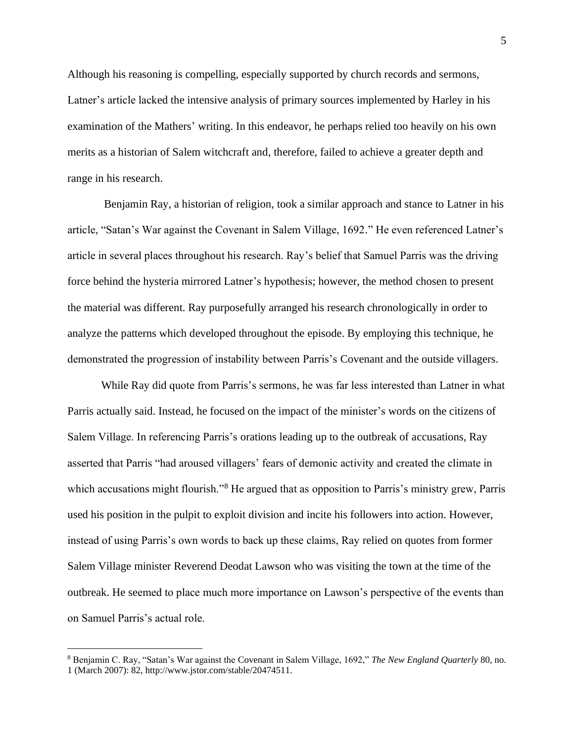Although his reasoning is compelling, especially supported by church records and sermons, Latner's article lacked the intensive analysis of primary sources implemented by Harley in his examination of the Mathers' writing. In this endeavor, he perhaps relied too heavily on his own merits as a historian of Salem witchcraft and, therefore, failed to achieve a greater depth and range in his research.

Benjamin Ray, a historian of religion, took a similar approach and stance to Latner in his article, "Satan's War against the Covenant in Salem Village, 1692." He even referenced Latner's article in several places throughout his research. Ray's belief that Samuel Parris was the driving force behind the hysteria mirrored Latner's hypothesis; however, the method chosen to present the material was different. Ray purposefully arranged his research chronologically in order to analyze the patterns which developed throughout the episode. By employing this technique, he demonstrated the progression of instability between Parris's Covenant and the outside villagers.

While Ray did quote from Parris's sermons, he was far less interested than Latner in what Parris actually said. Instead, he focused on the impact of the minister's words on the citizens of Salem Village. In referencing Parris's orations leading up to the outbreak of accusations, Ray asserted that Parris "had aroused villagers' fears of demonic activity and created the climate in which accusations might flourish."<sup>8</sup> He argued that as opposition to Parris's ministry grew, Parris used his position in the pulpit to exploit division and incite his followers into action. However, instead of using Parris's own words to back up these claims, Ray relied on quotes from former Salem Village minister Reverend Deodat Lawson who was visiting the town at the time of the outbreak. He seemed to place much more importance on Lawson's perspective of the events than on Samuel Parris's actual role.

<sup>8</sup> Benjamin C. Ray, "Satan's War against the Covenant in Salem Village, 1692," *The New England Quarterly* 80, no. 1 (March 2007): 82, http://www.jstor.com/stable/20474511.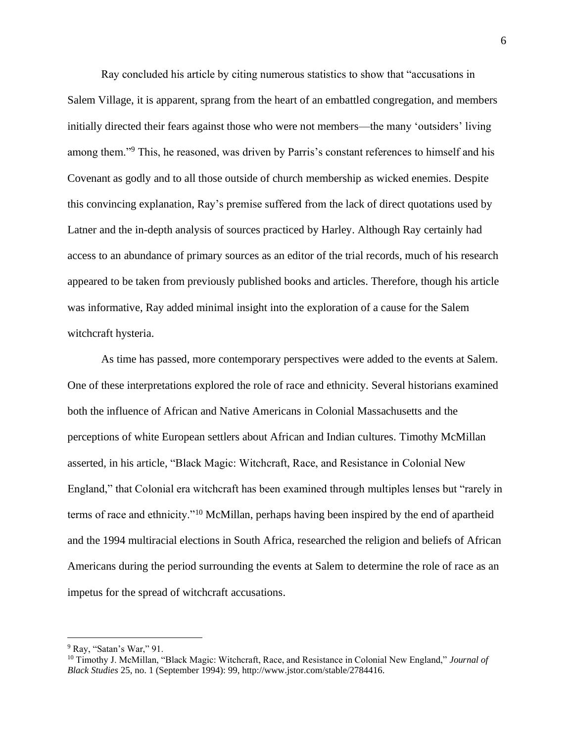Ray concluded his article by citing numerous statistics to show that "accusations in Salem Village, it is apparent, sprang from the heart of an embattled congregation, and members initially directed their fears against those who were not members—the many 'outsiders' living among them."<sup>9</sup> This, he reasoned, was driven by Parris's constant references to himself and his Covenant as godly and to all those outside of church membership as wicked enemies. Despite this convincing explanation, Ray's premise suffered from the lack of direct quotations used by Latner and the in-depth analysis of sources practiced by Harley. Although Ray certainly had access to an abundance of primary sources as an editor of the trial records, much of his research appeared to be taken from previously published books and articles. Therefore, though his article was informative, Ray added minimal insight into the exploration of a cause for the Salem witchcraft hysteria.

As time has passed, more contemporary perspectives were added to the events at Salem. One of these interpretations explored the role of race and ethnicity. Several historians examined both the influence of African and Native Americans in Colonial Massachusetts and the perceptions of white European settlers about African and Indian cultures. Timothy McMillan asserted, in his article, "Black Magic: Witchcraft, Race, and Resistance in Colonial New England," that Colonial era witchcraft has been examined through multiples lenses but "rarely in terms of race and ethnicity."<sup>10</sup> McMillan, perhaps having been inspired by the end of apartheid and the 1994 multiracial elections in South Africa, researched the religion and beliefs of African Americans during the period surrounding the events at Salem to determine the role of race as an impetus for the spread of witchcraft accusations.

 $9$  Ray, "Satan's War," 91.

<sup>10</sup> Timothy J. McMillan, "Black Magic: Witchcraft, Race, and Resistance in Colonial New England," *Journal of Black Studies* 25, no. 1 (September 1994): 99, http://www.jstor.com/stable/2784416.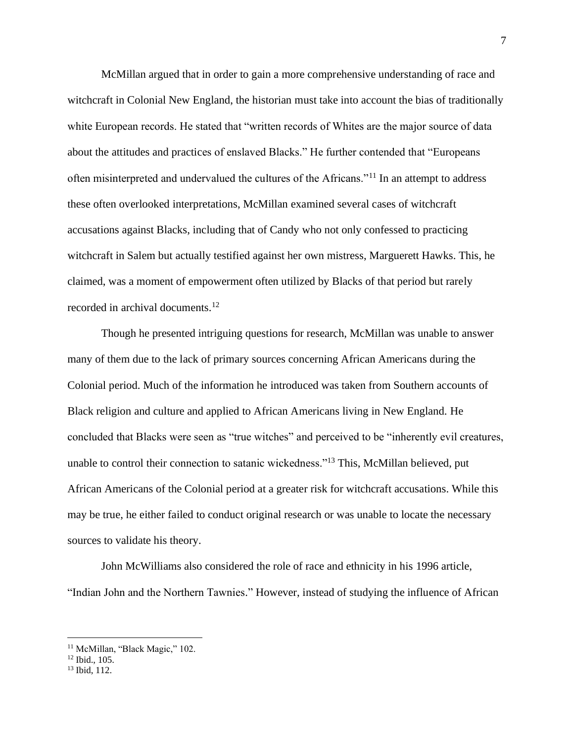McMillan argued that in order to gain a more comprehensive understanding of race and witchcraft in Colonial New England, the historian must take into account the bias of traditionally white European records. He stated that "written records of Whites are the major source of data about the attitudes and practices of enslaved Blacks." He further contended that "Europeans often misinterpreted and undervalued the cultures of the Africans."<sup>11</sup> In an attempt to address these often overlooked interpretations, McMillan examined several cases of witchcraft accusations against Blacks, including that of Candy who not only confessed to practicing witchcraft in Salem but actually testified against her own mistress, Marguerett Hawks. This, he claimed, was a moment of empowerment often utilized by Blacks of that period but rarely recorded in archival documents.<sup>12</sup>

Though he presented intriguing questions for research, McMillan was unable to answer many of them due to the lack of primary sources concerning African Americans during the Colonial period. Much of the information he introduced was taken from Southern accounts of Black religion and culture and applied to African Americans living in New England. He concluded that Blacks were seen as "true witches" and perceived to be "inherently evil creatures, unable to control their connection to satanic wickedness."<sup>13</sup> This, McMillan believed, put African Americans of the Colonial period at a greater risk for witchcraft accusations. While this may be true, he either failed to conduct original research or was unable to locate the necessary sources to validate his theory.

John McWilliams also considered the role of race and ethnicity in his 1996 article, "Indian John and the Northern Tawnies." However, instead of studying the influence of African

<sup>&</sup>lt;sup>11</sup> McMillan, "Black Magic," 102.

<sup>12</sup> Ibid., 105.

<sup>13</sup> Ibid, 112.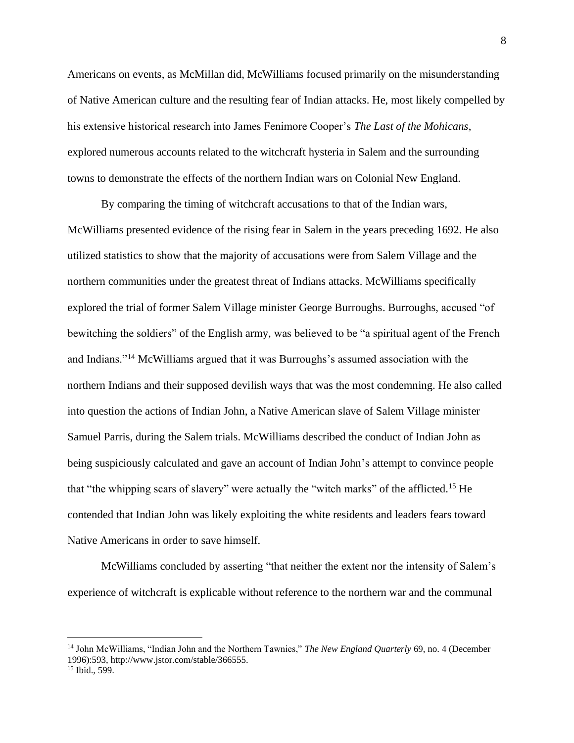Americans on events, as McMillan did, McWilliams focused primarily on the misunderstanding of Native American culture and the resulting fear of Indian attacks. He, most likely compelled by his extensive historical research into James Fenimore Cooper's *The Last of the Mohicans*, explored numerous accounts related to the witchcraft hysteria in Salem and the surrounding towns to demonstrate the effects of the northern Indian wars on Colonial New England.

By comparing the timing of witchcraft accusations to that of the Indian wars, McWilliams presented evidence of the rising fear in Salem in the years preceding 1692. He also utilized statistics to show that the majority of accusations were from Salem Village and the northern communities under the greatest threat of Indians attacks. McWilliams specifically explored the trial of former Salem Village minister George Burroughs. Burroughs, accused "of bewitching the soldiers" of the English army, was believed to be "a spiritual agent of the French and Indians."<sup>14</sup> McWilliams argued that it was Burroughs's assumed association with the northern Indians and their supposed devilish ways that was the most condemning. He also called into question the actions of Indian John, a Native American slave of Salem Village minister Samuel Parris, during the Salem trials. McWilliams described the conduct of Indian John as being suspiciously calculated and gave an account of Indian John's attempt to convince people that "the whipping scars of slavery" were actually the "witch marks" of the afflicted.<sup>15</sup> He contended that Indian John was likely exploiting the white residents and leaders fears toward Native Americans in order to save himself.

McWilliams concluded by asserting "that neither the extent nor the intensity of Salem's experience of witchcraft is explicable without reference to the northern war and the communal

<sup>14</sup> John McWilliams, "Indian John and the Northern Tawnies," *The New England Quarterly* 69, no. 4 (December 1996):593, http://www.jstor.com/stable/366555.

<sup>&</sup>lt;sup>15</sup> Ibid., 599.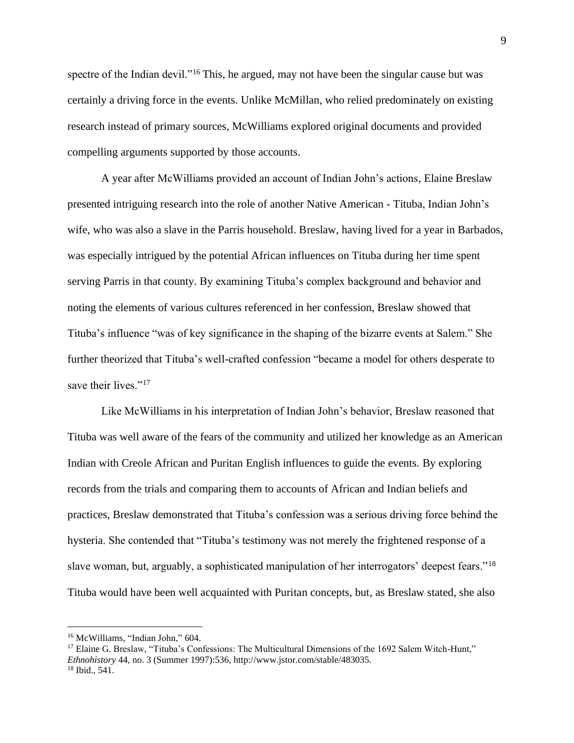spectre of the Indian devil."<sup>16</sup> This, he argued, may not have been the singular cause but was certainly a driving force in the events. Unlike McMillan, who relied predominately on existing research instead of primary sources, McWilliams explored original documents and provided compelling arguments supported by those accounts.

A year after McWilliams provided an account of Indian John's actions, Elaine Breslaw presented intriguing research into the role of another Native American - Tituba, Indian John's wife, who was also a slave in the Parris household. Breslaw, having lived for a year in Barbados, was especially intrigued by the potential African influences on Tituba during her time spent serving Parris in that county. By examining Tituba's complex background and behavior and noting the elements of various cultures referenced in her confession, Breslaw showed that Tituba's influence "was of key significance in the shaping of the bizarre events at Salem." She further theorized that Tituba's well-crafted confession "became a model for others desperate to save their lives."<sup>17</sup>

Like McWilliams in his interpretation of Indian John's behavior, Breslaw reasoned that Tituba was well aware of the fears of the community and utilized her knowledge as an American Indian with Creole African and Puritan English influences to guide the events. By exploring records from the trials and comparing them to accounts of African and Indian beliefs and practices, Breslaw demonstrated that Tituba's confession was a serious driving force behind the hysteria. She contended that "Tituba's testimony was not merely the frightened response of a slave woman, but, arguably, a sophisticated manipulation of her interrogators' deepest fears."<sup>18</sup> Tituba would have been well acquainted with Puritan concepts, but, as Breslaw stated, she also

<sup>&</sup>lt;sup>16</sup> McWilliams, "Indian John," 604.

<sup>&</sup>lt;sup>17</sup> Elaine G. Breslaw, "Tituba's Confessions: The Multicultural Dimensions of the 1692 Salem Witch-Hunt," *Ethnohistory* 44, no. 3 (Summer 1997):536, http://www.jstor.com/stable/483035. <sup>18</sup> Ibid., 541.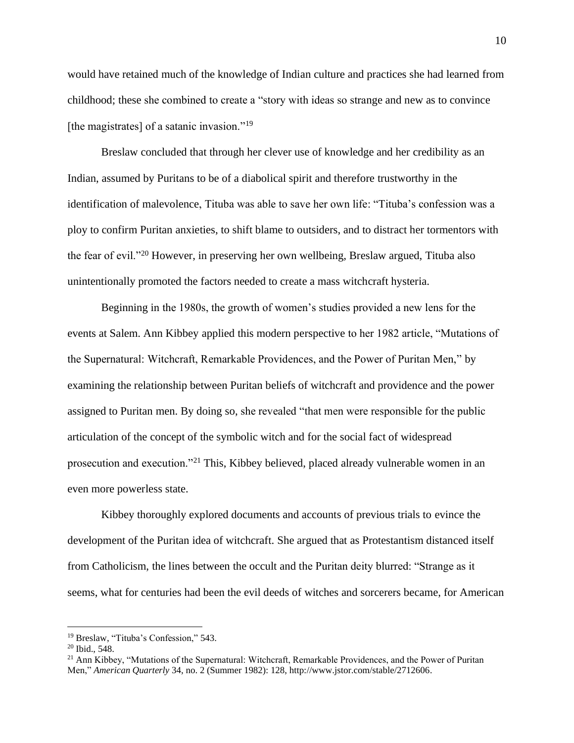would have retained much of the knowledge of Indian culture and practices she had learned from childhood; these she combined to create a "story with ideas so strange and new as to convince [the magistrates] of a satanic invasion."<sup>19</sup>

Breslaw concluded that through her clever use of knowledge and her credibility as an Indian, assumed by Puritans to be of a diabolical spirit and therefore trustworthy in the identification of malevolence, Tituba was able to save her own life: "Tituba's confession was a ploy to confirm Puritan anxieties, to shift blame to outsiders, and to distract her tormentors with the fear of evil."<sup>20</sup> However, in preserving her own wellbeing, Breslaw argued, Tituba also unintentionally promoted the factors needed to create a mass witchcraft hysteria.

Beginning in the 1980s, the growth of women's studies provided a new lens for the events at Salem. Ann Kibbey applied this modern perspective to her 1982 article, "Mutations of the Supernatural: Witchcraft, Remarkable Providences, and the Power of Puritan Men," by examining the relationship between Puritan beliefs of witchcraft and providence and the power assigned to Puritan men. By doing so, she revealed "that men were responsible for the public articulation of the concept of the symbolic witch and for the social fact of widespread prosecution and execution."<sup>21</sup> This, Kibbey believed, placed already vulnerable women in an even more powerless state.

Kibbey thoroughly explored documents and accounts of previous trials to evince the development of the Puritan idea of witchcraft. She argued that as Protestantism distanced itself from Catholicism, the lines between the occult and the Puritan deity blurred: "Strange as it seems, what for centuries had been the evil deeds of witches and sorcerers became, for American

<sup>19</sup> Breslaw, "Tituba's Confession," 543.

<sup>20</sup> Ibid., 548.

<sup>&</sup>lt;sup>21</sup> Ann Kibbey, "Mutations of the Supernatural: Witchcraft, Remarkable Providences, and the Power of Puritan Men," *American Quarterly* 34, no. 2 (Summer 1982): 128, http://www.jstor.com/stable/2712606.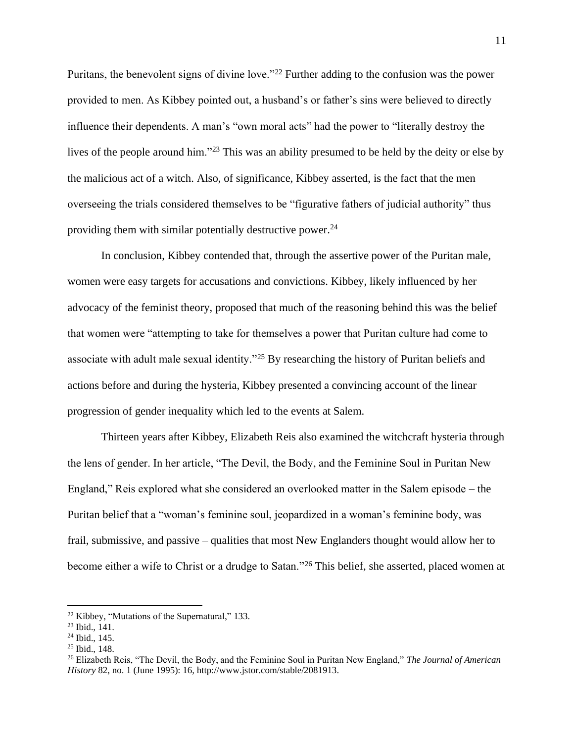Puritans, the benevolent signs of divine love."<sup>22</sup> Further adding to the confusion was the power provided to men. As Kibbey pointed out, a husband's or father's sins were believed to directly influence their dependents. A man's "own moral acts" had the power to "literally destroy the lives of the people around him."<sup>23</sup> This was an ability presumed to be held by the deity or else by the malicious act of a witch. Also, of significance, Kibbey asserted, is the fact that the men overseeing the trials considered themselves to be "figurative fathers of judicial authority" thus providing them with similar potentially destructive power. $^{24}$ 

In conclusion, Kibbey contended that, through the assertive power of the Puritan male, women were easy targets for accusations and convictions. Kibbey, likely influenced by her advocacy of the feminist theory, proposed that much of the reasoning behind this was the belief that women were "attempting to take for themselves a power that Puritan culture had come to associate with adult male sexual identity."<sup>25</sup> By researching the history of Puritan beliefs and actions before and during the hysteria, Kibbey presented a convincing account of the linear progression of gender inequality which led to the events at Salem.

Thirteen years after Kibbey, Elizabeth Reis also examined the witchcraft hysteria through the lens of gender. In her article, "The Devil, the Body, and the Feminine Soul in Puritan New England," Reis explored what she considered an overlooked matter in the Salem episode – the Puritan belief that a "woman's feminine soul, jeopardized in a woman's feminine body, was frail, submissive, and passive – qualities that most New Englanders thought would allow her to become either a wife to Christ or a drudge to Satan."<sup>26</sup> This belief, she asserted, placed women at

 $22$  Kibbey, "Mutations of the Supernatural," 133.

<sup>23</sup> Ibid., 141.

<sup>24</sup> Ibid., 145.

<sup>25</sup> Ibid., 148.

<sup>26</sup> Elizabeth Reis, "The Devil, the Body, and the Feminine Soul in Puritan New England," *The Journal of American History* 82, no. 1 (June 1995): 16, http://www.jstor.com/stable/2081913.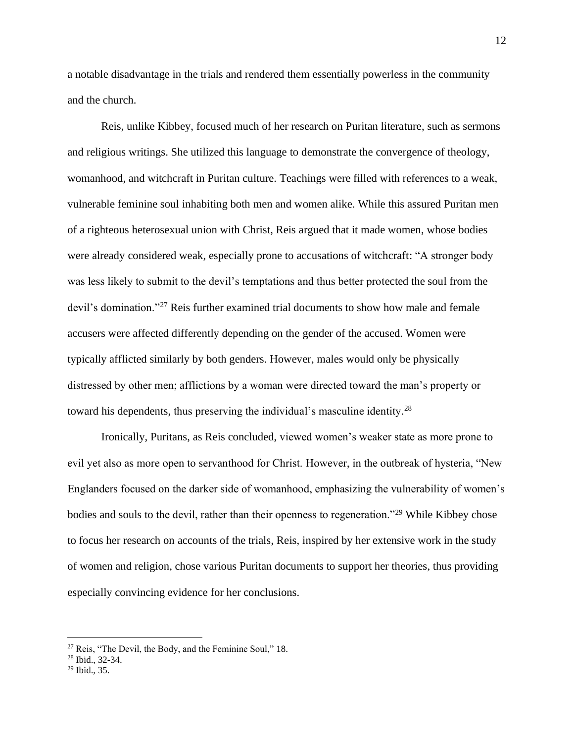a notable disadvantage in the trials and rendered them essentially powerless in the community and the church.

Reis, unlike Kibbey, focused much of her research on Puritan literature, such as sermons and religious writings. She utilized this language to demonstrate the convergence of theology, womanhood, and witchcraft in Puritan culture. Teachings were filled with references to a weak, vulnerable feminine soul inhabiting both men and women alike. While this assured Puritan men of a righteous heterosexual union with Christ, Reis argued that it made women, whose bodies were already considered weak, especially prone to accusations of witchcraft: "A stronger body was less likely to submit to the devil's temptations and thus better protected the soul from the devil's domination."<sup>27</sup> Reis further examined trial documents to show how male and female accusers were affected differently depending on the gender of the accused. Women were typically afflicted similarly by both genders. However, males would only be physically distressed by other men; afflictions by a woman were directed toward the man's property or toward his dependents, thus preserving the individual's masculine identity.<sup>28</sup>

Ironically, Puritans, as Reis concluded, viewed women's weaker state as more prone to evil yet also as more open to servanthood for Christ. However, in the outbreak of hysteria, "New Englanders focused on the darker side of womanhood, emphasizing the vulnerability of women's bodies and souls to the devil, rather than their openness to regeneration."<sup>29</sup> While Kibbey chose to focus her research on accounts of the trials, Reis, inspired by her extensive work in the study of women and religion, chose various Puritan documents to support her theories, thus providing especially convincing evidence for her conclusions.

<sup>27</sup> Reis, "The Devil, the Body, and the Feminine Soul," 18.

<sup>28</sup> Ibid., 32-34.

 $29$  Ibid., 35.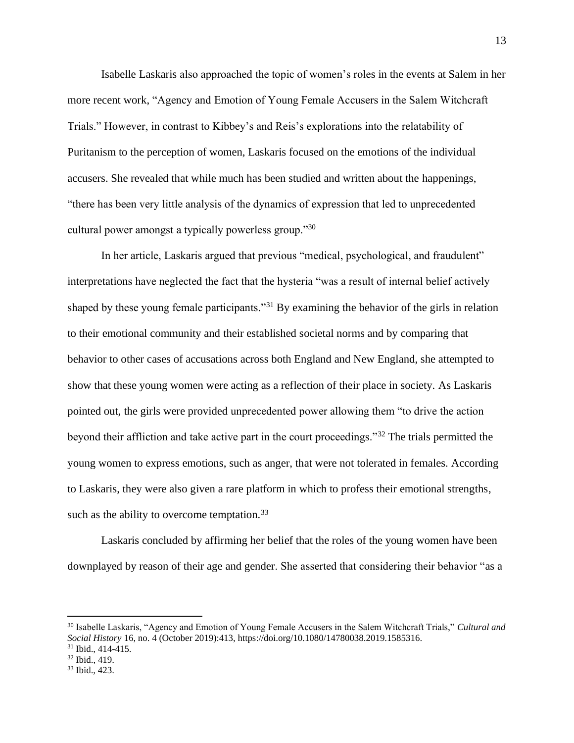Isabelle Laskaris also approached the topic of women's roles in the events at Salem in her more recent work, "Agency and Emotion of Young Female Accusers in the Salem Witchcraft Trials." However, in contrast to Kibbey's and Reis's explorations into the relatability of Puritanism to the perception of women, Laskaris focused on the emotions of the individual accusers. She revealed that while much has been studied and written about the happenings, "there has been very little analysis of the dynamics of expression that led to unprecedented cultural power amongst a typically powerless group."<sup>30</sup>

In her article, Laskaris argued that previous "medical, psychological, and fraudulent" interpretations have neglected the fact that the hysteria "was a result of internal belief actively shaped by these young female participants."<sup>31</sup> By examining the behavior of the girls in relation to their emotional community and their established societal norms and by comparing that behavior to other cases of accusations across both England and New England, she attempted to show that these young women were acting as a reflection of their place in society. As Laskaris pointed out, the girls were provided unprecedented power allowing them "to drive the action beyond their affliction and take active part in the court proceedings."<sup>32</sup> The trials permitted the young women to express emotions, such as anger, that were not tolerated in females. According to Laskaris, they were also given a rare platform in which to profess their emotional strengths, such as the ability to overcome temptation.  $33$ 

Laskaris concluded by affirming her belief that the roles of the young women have been downplayed by reason of their age and gender. She asserted that considering their behavior "as a

<sup>30</sup> Isabelle Laskaris, "Agency and Emotion of Young Female Accusers in the Salem Witchcraft Trials," *Cultural and Social History* 16, no. 4 (October 2019):413, https://doi.org/10.1080/14780038.2019.1585316.  $31$  Ibid., 414-415.

<sup>32</sup> Ibid., 419.

<sup>33</sup> Ibid., 423.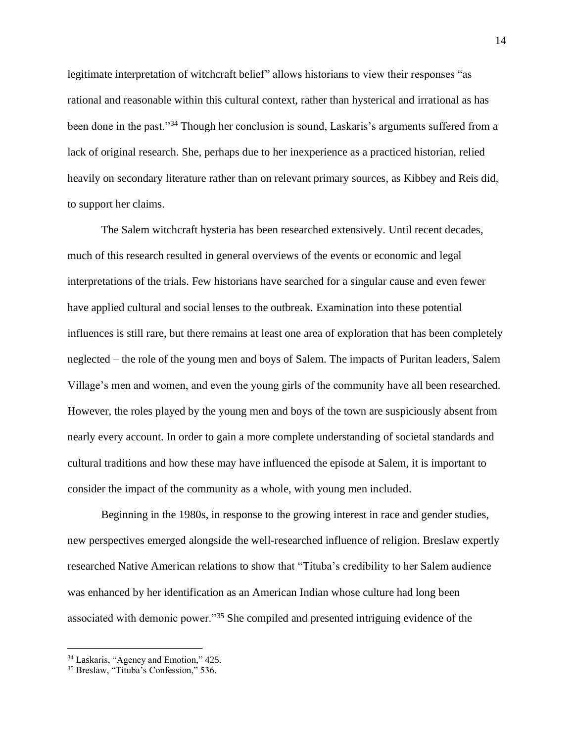legitimate interpretation of witchcraft belief" allows historians to view their responses "as rational and reasonable within this cultural context, rather than hysterical and irrational as has been done in the past."<sup>34</sup> Though her conclusion is sound, Laskaris's arguments suffered from a lack of original research. She, perhaps due to her inexperience as a practiced historian, relied heavily on secondary literature rather than on relevant primary sources, as Kibbey and Reis did, to support her claims.

The Salem witchcraft hysteria has been researched extensively. Until recent decades, much of this research resulted in general overviews of the events or economic and legal interpretations of the trials. Few historians have searched for a singular cause and even fewer have applied cultural and social lenses to the outbreak. Examination into these potential influences is still rare, but there remains at least one area of exploration that has been completely neglected – the role of the young men and boys of Salem. The impacts of Puritan leaders, Salem Village's men and women, and even the young girls of the community have all been researched. However, the roles played by the young men and boys of the town are suspiciously absent from nearly every account. In order to gain a more complete understanding of societal standards and cultural traditions and how these may have influenced the episode at Salem, it is important to consider the impact of the community as a whole, with young men included.

Beginning in the 1980s, in response to the growing interest in race and gender studies, new perspectives emerged alongside the well-researched influence of religion. Breslaw expertly researched Native American relations to show that "Tituba's credibility to her Salem audience was enhanced by her identification as an American Indian whose culture had long been associated with demonic power."<sup>35</sup> She compiled and presented intriguing evidence of the

<sup>34</sup> Laskaris, "Agency and Emotion," 425.

<sup>35</sup> Breslaw, "Tituba's Confession," 536.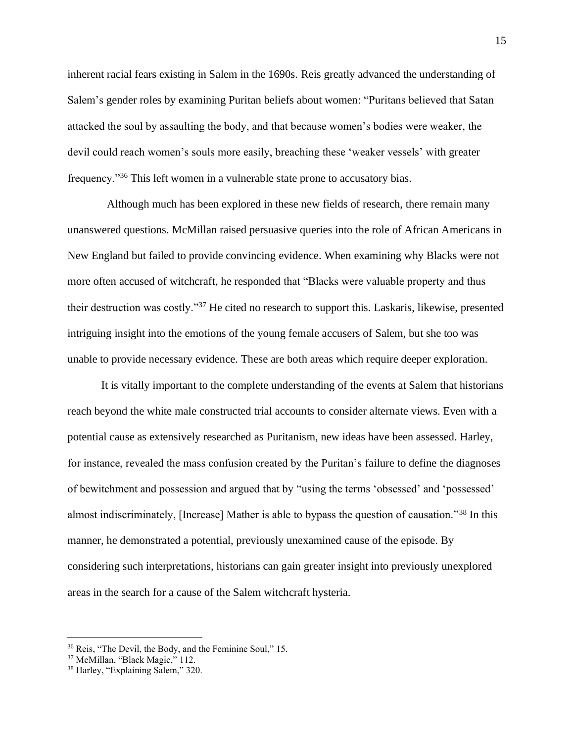inherent racial fears existing in Salem in the 1690s. Reis greatly advanced the understanding of Salem's gender roles by examining Puritan beliefs about women: "Puritans believed that Satan attacked the soul by assaulting the body, and that because women's bodies were weaker, the devil could reach women's souls more easily, breaching these 'weaker vessels' with greater frequency."<sup>36</sup> This left women in a vulnerable state prone to accusatory bias.

Although much has been explored in these new fields of research, there remain many unanswered questions. McMillan raised persuasive queries into the role of African Americans in New England but failed to provide convincing evidence. When examining why Blacks were not more often accused of witchcraft, he responded that "Blacks were valuable property and thus their destruction was costly."<sup>37</sup> He cited no research to support this. Laskaris, likewise, presented intriguing insight into the emotions of the young female accusers of Salem, but she too was unable to provide necessary evidence. These are both areas which require deeper exploration.

It is vitally important to the complete understanding of the events at Salem that historians reach beyond the white male constructed trial accounts to consider alternate views. Even with a potential cause as extensively researched as Puritanism, new ideas have been assessed. Harley, for instance, revealed the mass confusion created by the Puritan's failure to define the diagnoses of bewitchment and possession and argued that by "using the terms 'obsessed' and 'possessed' almost indiscriminately, [Increase] Mather is able to bypass the question of causation."<sup>38</sup> In this manner, he demonstrated a potential, previously unexamined cause of the episode. By considering such interpretations, historians can gain greater insight into previously unexplored areas in the search for a cause of the Salem witchcraft hysteria.

<sup>36</sup> Reis, "The Devil, the Body, and the Feminine Soul," 15.

<sup>37</sup> McMillan, "Black Magic," 112.

<sup>38</sup> Harley, "Explaining Salem," 320.